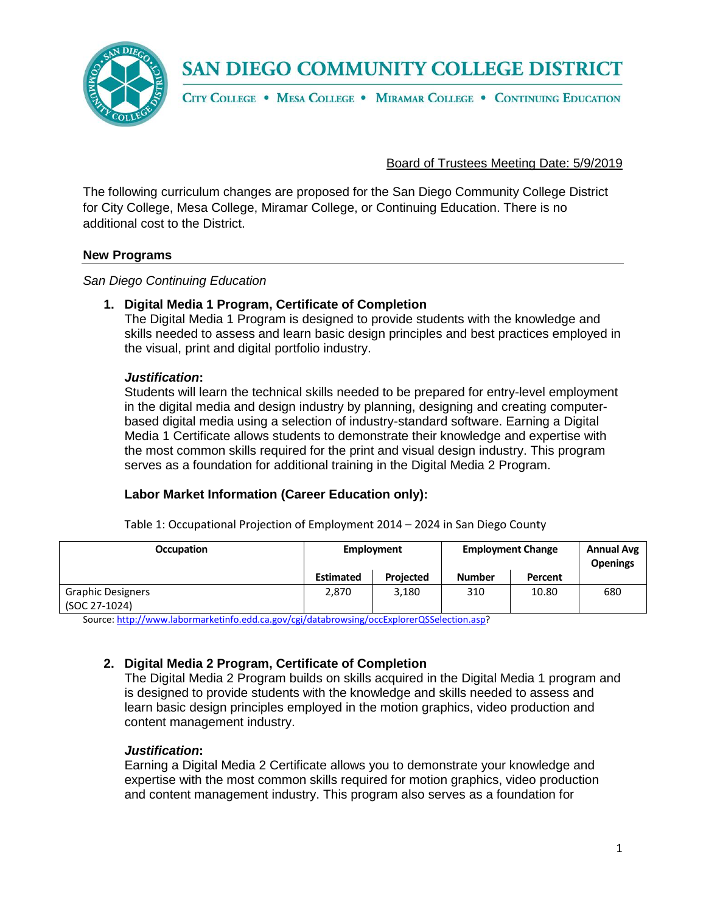

CITY COLLEGE . MESA COLLEGE . MIRAMAR COLLEGE . CONTINUING EDUCATION

# Board of Trustees Meeting Date: 5/9/2019

The following curriculum changes are proposed for the San Diego Community College District for City College, Mesa College, Miramar College, or Continuing Education. There is no additional cost to the District.

#### **New Programs**

*San Diego Continuing Education*

# **1. Digital Media 1 Program, Certificate of Completion**

The Digital Media 1 Program is designed to provide students with the knowledge and skills needed to assess and learn basic design principles and best practices employed in the visual, print and digital portfolio industry.

#### *Justification***:**

Students will learn the technical skills needed to be prepared for entry-level employment in the digital media and design industry by planning, designing and creating computerbased digital media using a selection of industry-standard software. Earning a Digital Media 1 Certificate allows students to demonstrate their knowledge and expertise with the most common skills required for the print and visual design industry. This program serves as a foundation for additional training in the Digital Media 2 Program.

# **Labor Market Information (Career Education only):**

Table 1: Occupational Projection of Employment 2014 – 2024 in San Diego County

| <b>Occupation</b>                         | Employment       |           | <b>Employment Change</b> |         | <b>Annual Avg</b><br><b>Openings</b> |
|-------------------------------------------|------------------|-----------|--------------------------|---------|--------------------------------------|
|                                           | <b>Estimated</b> | Projected | <b>Number</b>            | Percent |                                      |
| <b>Graphic Designers</b><br>(SOC 27-1024) | 2,870            | 3,180     | 310                      | 10.80   | 680                                  |

Source[: http://www.labormarketinfo.edd.ca.gov/cgi/databrowsing/occExplorerQSSelection.asp?](http://www.labormarketinfo.edd.ca.gov/cgi/databrowsing/occExplorerQSSelection.asp)

# **2. Digital Media 2 Program, Certificate of Completion**

The Digital Media 2 Program builds on skills acquired in the Digital Media 1 program and is designed to provide students with the knowledge and skills needed to assess and learn basic design principles employed in the motion graphics, video production and content management industry.

# *Justification***:**

Earning a Digital Media 2 Certificate allows you to demonstrate your knowledge and expertise with the most common skills required for motion graphics, video production and content management industry. This program also serves as a foundation for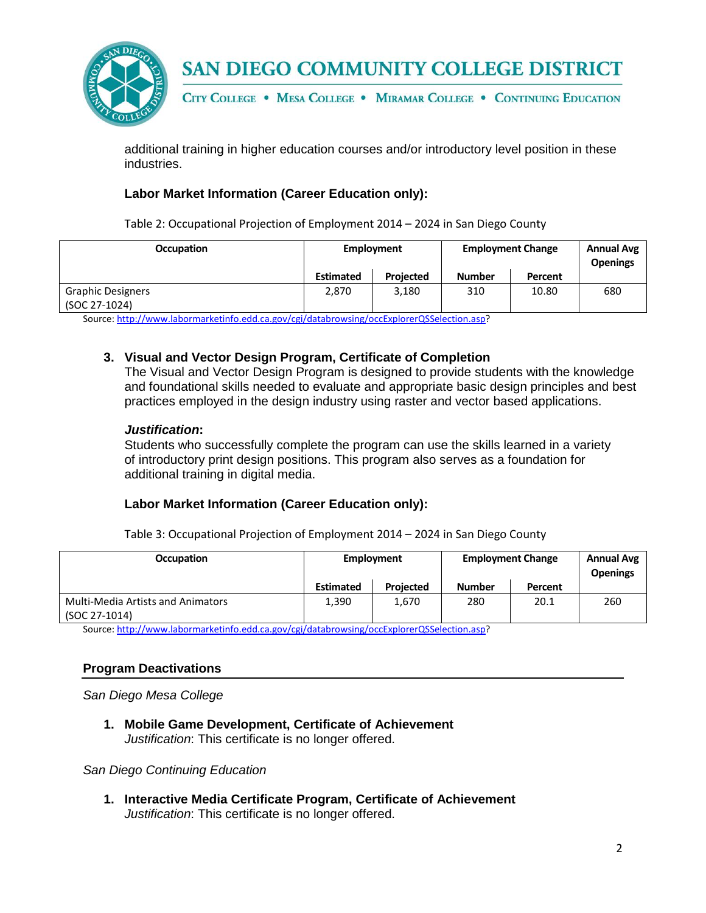

CITY COLLEGE . MESA COLLEGE . MIRAMAR COLLEGE . CONTINUING EDUCATION

additional training in higher education courses and/or introductory level position in these industries.

# **Labor Market Information (Career Education only):**

Table 2: Occupational Projection of Employment 2014 – 2024 in San Diego County

| <b>Occupation</b>        | Employment       |                  | <b>Employment Change</b> |         | <b>Annual Avg</b><br><b>Openings</b> |
|--------------------------|------------------|------------------|--------------------------|---------|--------------------------------------|
|                          | <b>Estimated</b> | <b>Projected</b> | <b>Number</b>            | Percent |                                      |
| <b>Graphic Designers</b> | 2.870            | 3,180            | 310                      | 10.80   | 680                                  |
| (SOC 27-1024)            |                  |                  |                          |         |                                      |

Source[: http://www.labormarketinfo.edd.ca.gov/cgi/databrowsing/occExplorerQSSelection.asp?](http://www.labormarketinfo.edd.ca.gov/cgi/databrowsing/occExplorerQSSelection.asp)

# **3. Visual and Vector Design Program, Certificate of Completion**

The Visual and Vector Design Program is designed to provide students with the knowledge and foundational skills needed to evaluate and appropriate basic design principles and best practices employed in the design industry using raster and vector based applications.

#### *Justification***:**

Students who successfully complete the program can use the skills learned in a variety of introductory print design positions. This program also serves as a foundation for additional training in digital media.

#### **Labor Market Information (Career Education only):**

Table 3: Occupational Projection of Employment 2014 – 2024 in San Diego County

| <b>Occupation</b>                                         | Employment       |                  | <b>Employment Change</b> |         | <b>Annual Avg</b><br><b>Openings</b> |
|-----------------------------------------------------------|------------------|------------------|--------------------------|---------|--------------------------------------|
|                                                           | <b>Estimated</b> | <b>Projected</b> | <b>Number</b>            | Percent |                                      |
| <b>Multi-Media Artists and Animators</b><br>(SOC 27-1014) | 1,390            | 1,670            | 280                      | 20.1    | 260                                  |

Source[: http://www.labormarketinfo.edd.ca.gov/cgi/databrowsing/occExplorerQSSelection.asp?](http://www.labormarketinfo.edd.ca.gov/cgi/databrowsing/occExplorerQSSelection.asp)

# **Program Deactivations**

*San Diego Mesa College*

**1. Mobile Game Development, Certificate of Achievement** *Justification*: This certificate is no longer offered.

*San Diego Continuing Education*

**1. Interactive Media Certificate Program, Certificate of Achievement** *Justification*: This certificate is no longer offered.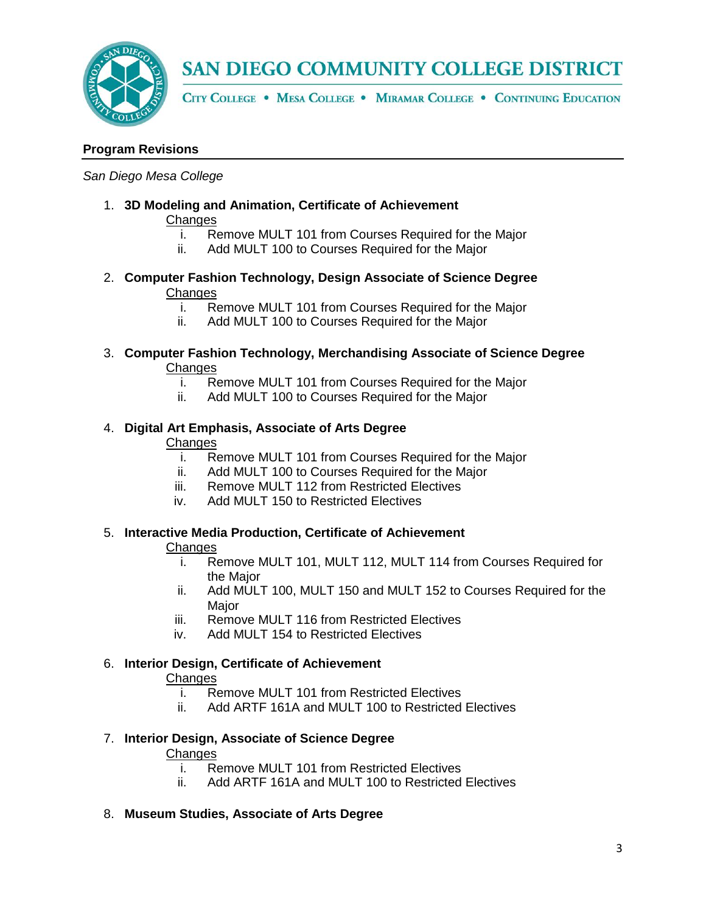

CITY COLLEGE . MESA COLLEGE . MIRAMAR COLLEGE . CONTINUING EDUCATION

# **Program Revisions**

#### *San Diego Mesa College*

1. **3D Modeling and Animation, Certificate of Achievement**

# **Changes**

- i. Remove MULT 101 from Courses Required for the Major
- ii. Add MULT 100 to Courses Required for the Major
- 2. **Computer Fashion Technology, Design Associate of Science Degree Changes** 
	- i. Remove MULT 101 from Courses Required for the Major<br>ii. Add MULT 100 to Courses Required for the Major
	- Add MULT 100 to Courses Required for the Major
- 3. **Computer Fashion Technology, Merchandising Associate of Science Degree** Changes<br>i. Re
	- Remove MULT 101 from Courses Required for the Major
	- ii. Add MULT 100 to Courses Required for the Major

#### 4. **Digital Art Emphasis, Associate of Arts Degree Changes**

- i. Remove MULT 101 from Courses Required for the Major
- ii. Add MULT 100 to Courses Required for the Major
- iii. Remove MULT 112 from Restricted Electives
- iv. Add MULT 150 to Restricted Electives

# 5. **Interactive Media Production, Certificate of Achievement**

# **Changes**

- i. Remove MULT 101, MULT 112, MULT 114 from Courses Required for the Major
- ii. Add MULT 100, MULT 150 and MULT 152 to Courses Required for the **Major**
- iii. Remove MULT 116 from Restricted Electives
- iv. Add MULT 154 to Restricted Electives

# 6. **Interior Design, Certificate of Achievement**

# **Changes**

- i. Remove MULT 101 from Restricted Electives
- ii. Add ARTF 161A and MULT 100 to Restricted Electives

# 7. **Interior Design, Associate of Science Degree**

# **Changes**

- i. Remove MULT 101 from Restricted Electives<br>ii. Add ARTF 161A and MULT 100 to Restricted
- Add ARTF 161A and MULT 100 to Restricted Electives

# 8. **Museum Studies, Associate of Arts Degree**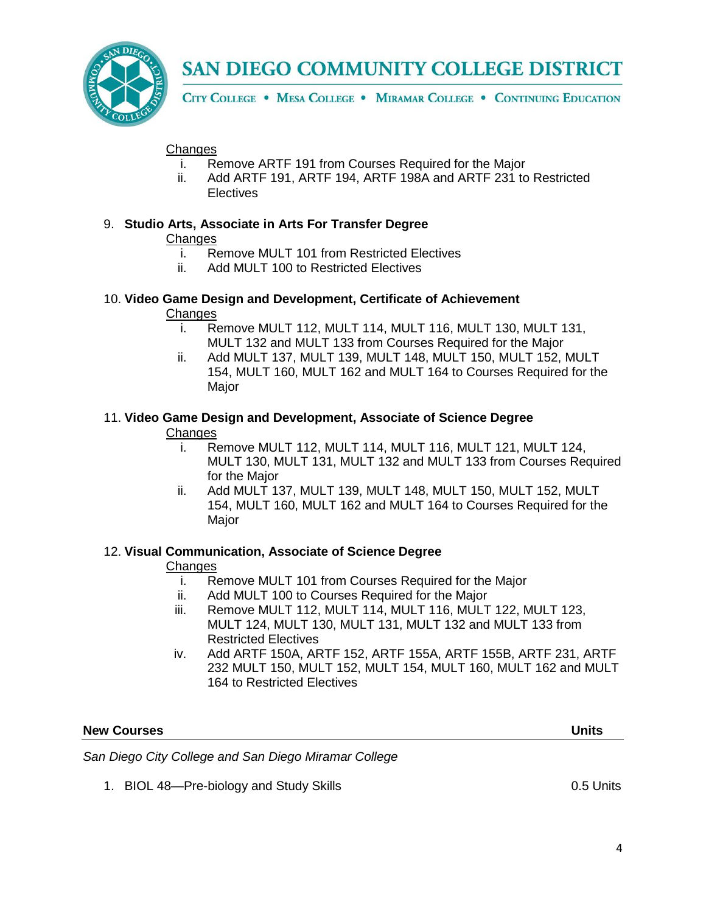

CITY COLLEGE . MESA COLLEGE . MIRAMAR COLLEGE . CONTINUING EDUCATION

# **Changes**

- i. Remove ARTF 191 from Courses Required for the Major
- ii. Add ARTF 191, ARTF 194, ARTF 198A and ARTF 231 to Restricted **Electives**

# 9. **Studio Arts, Associate in Arts For Transfer Degree**

# **Changes**

- i. Remove MULT 101 from Restricted Electives
- ii. Add MULT 100 to Restricted Electives

# 10. **Video Game Design and Development, Certificate of Achievement**

# **Changes**

- i. Remove MULT 112, MULT 114, MULT 116, MULT 130, MULT 131, MULT 132 and MULT 133 from Courses Required for the Major
- ii. Add MULT 137, MULT 139, MULT 148, MULT 150, MULT 152, MULT 154, MULT 160, MULT 162 and MULT 164 to Courses Required for the Major

# 11. **Video Game Design and Development, Associate of Science Degree**

# **Changes**

- i. Remove MULT 112, MULT 114, MULT 116, MULT 121, MULT 124, MULT 130, MULT 131, MULT 132 and MULT 133 from Courses Required for the Major
- ii. Add MULT 137, MULT 139, MULT 148, MULT 150, MULT 152, MULT 154, MULT 160, MULT 162 and MULT 164 to Courses Required for the Major

# 12. **Visual Communication, Associate of Science Degree**

# **Changes**

- i. Remove MULT 101 from Courses Required for the Major
- ii. Add MULT 100 to Courses Required for the Major
- iii. Remove MULT 112, MULT 114, MULT 116, MULT 122, MULT 123, MULT 124, MULT 130, MULT 131, MULT 132 and MULT 133 from Restricted Electives
- iv. Add ARTF 150A, ARTF 152, ARTF 155A, ARTF 155B, ARTF 231, ARTF 232 MULT 150, MULT 152, MULT 154, MULT 160, MULT 162 and MULT 164 to Restricted Electives

# **New Courses****Units**

*San Diego City College and San Diego Miramar College*

1. BIOL 48—Pre-biology and Study Skills 6.5 Units 0.5 Units